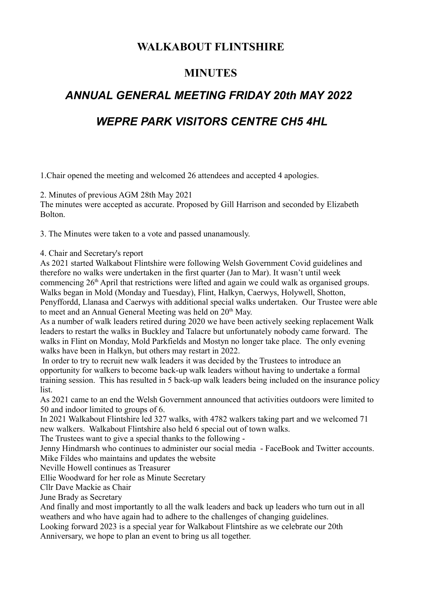# **WALKABOUT FLINTSHIRE**

## **MINUTES**

# *ANNUAL GENERAL MEETING FRIDAY 20th MAY 2022*

# *WEPRE PARK VISITORS CENTRE CH5 4HL*

1.Chair opened the meeting and welcomed 26 attendees and accepted 4 apologies.

2. Minutes of previous AGM 28th May 2021

The minutes were accepted as accurate. Proposed by Gill Harrison and seconded by Elizabeth Bolton.

3. The Minutes were taken to a vote and passed unanamously.

4. Chair and Secretary's report

As 2021 started Walkabout Flintshire were following Welsh Government Covid guidelines and therefore no walks were undertaken in the first quarter (Jan to Mar). It wasn't until week commencing 26th April that restrictions were lifted and again we could walk as organised groups. Walks began in Mold (Monday and Tuesday), Flint, Halkyn, Caerwys, Holywell, Shotton, Penyffordd, Llanasa and Caerwys with additional special walks undertaken. Our Trustee were able to meet and an Annual General Meeting was held on 20<sup>th</sup> May.

As a number of walk leaders retired during 2020 we have been actively seeking replacement Walk leaders to restart the walks in Buckley and Talacre but unfortunately nobody came forward. The walks in Flint on Monday, Mold Parkfields and Mostyn no longer take place. The only evening walks have been in Halkyn, but others may restart in 2022.

 In order to try to recruit new walk leaders it was decided by the Trustees to introduce an opportunity for walkers to become back-up walk leaders without having to undertake a formal training session. This has resulted in 5 back-up walk leaders being included on the insurance policy list.

As 2021 came to an end the Welsh Government announced that activities outdoors were limited to 50 and indoor limited to groups of 6.

In 2021 Walkabout Flintshire led 327 walks, with 4782 walkers taking part and we welcomed 71 new walkers. Walkabout Flintshire also held 6 special out of town walks.

The Trustees want to give a special thanks to the following -

Jenny Hindmarsh who continues to administer our social media - FaceBook and Twitter accounts. Mike Fildes who maintains and updates the website

Neville Howell continues as Treasurer

Ellie Woodward for her role as Minute Secretary

Cllr Dave Mackie as Chair

June Brady as Secretary

And finally and most importantly to all the walk leaders and back up leaders who turn out in all weathers and who have again had to adhere to the challenges of changing guidelines.

Looking forward 2023 is a special year for Walkabout Flintshire as we celebrate our 20th Anniversary, we hope to plan an event to bring us all together.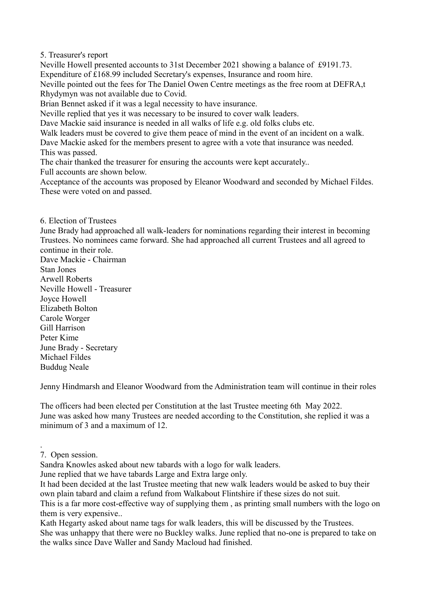5. Treasurer's report

Neville Howell presented accounts to 31st December 2021 showing a balance of £9191.73. Expenditure of £168.99 included Secretary's expenses, Insurance and room hire.

Neville pointed out the fees for The Daniel Owen Centre meetings as the free room at DEFRA,t Rhydymyn was not available due to Covid.

Brian Bennet asked if it was a legal necessity to have insurance.

Neville replied that yes it was necessary to be insured to cover walk leaders.

Dave Mackie said insurance is needed in all walks of life e.g. old folks clubs etc.

Walk leaders must be covered to give them peace of mind in the event of an incident on a walk.

Dave Mackie asked for the members present to agree with a vote that insurance was needed. This was passed.

The chair thanked the treasurer for ensuring the accounts were kept accurately..

Full accounts are shown below.

Acceptance of the accounts was proposed by Eleanor Woodward and seconded by Michael Fildes. These were voted on and passed.

### 6. Election of Trustees

June Brady had approached all walk-leaders for nominations regarding their interest in becoming Trustees. No nominees came forward. She had approached all current Trustees and all agreed to continue in their role.

Dave Mackie - Chairman Stan Jones Arwell Roberts Neville Howell - Treasurer Joyce Howell Elizabeth Bolton Carole Worger Gill Harrison Peter Kime June Brady - Secretary Michael Fildes Buddug Neale

Jenny Hindmarsh and Eleanor Woodward from the Administration team will continue in their roles

The officers had been elected per Constitution at the last Trustee meeting 6th May 2022. June was asked how many Trustees are needed according to the Constitution, she replied it was a minimum of 3 and a maximum of 12.

7. Open session.

.

Sandra Knowles asked about new tabards with a logo for walk leaders.

June replied that we have tabards Large and Extra large only.

It had been decided at the last Trustee meeting that new walk leaders would be asked to buy their own plain tabard and claim a refund from Walkabout Flintshire if these sizes do not suit. This is a far more cost-effective way of supplying them , as printing small numbers with the logo on them is very expensive..

Kath Hegarty asked about name tags for walk leaders, this will be discussed by the Trustees. She was unhappy that there were no Buckley walks. June replied that no-one is prepared to take on the walks since Dave Waller and Sandy Macloud had finished.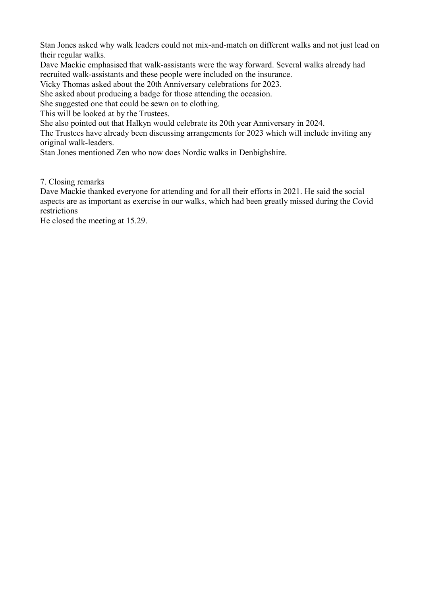Stan Jones asked why walk leaders could not mix-and-match on different walks and not just lead on their regular walks.

Dave Mackie emphasised that walk-assistants were the way forward. Several walks already had recruited walk-assistants and these people were included on the insurance.

Vicky Thomas asked about the 20th Anniversary celebrations for 2023.

She asked about producing a badge for those attending the occasion.

She suggested one that could be sewn on to clothing.

This will be looked at by the Trustees.

She also pointed out that Halkyn would celebrate its 20th year Anniversary in 2024.

The Trustees have already been discussing arrangements for 2023 which will include inviting any original walk-leaders.

Stan Jones mentioned Zen who now does Nordic walks in Denbighshire.

7. Closing remarks

Dave Mackie thanked everyone for attending and for all their efforts in 2021. He said the social aspects are as important as exercise in our walks, which had been greatly missed during the Covid restrictions

He closed the meeting at 15.29.